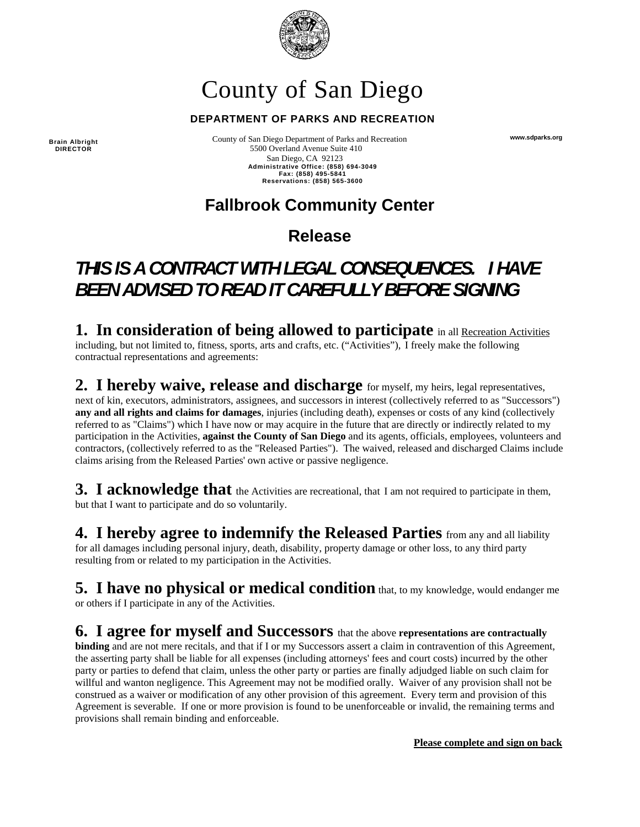

# County of San Diego

#### **DEPARTMENT OF PARKS AND RECREATION**

**Brain Albright DIRECTOR** 

 County of San Diego Department of Parks and Recreation 5500 Overland Avenue Suite 410 San Diego, CA 92123 **Administrative Office: (858) 694-3049 Fax: (858) 495-5841 Reservations: (858) 565-3600** 

### **Fallbrook Community Center**

### **Release**

## *THIS IS A CONTRACT WITH LEGAL CONSEQUENCES. I HAVE BEEN ADVISED TO READ IT CAREFULLY BEFORE SIGNING*

**1. In consideration of being allowed to participate** in all Recreation Activities including, but not limited to, fitness, sports, arts and crafts, etc. ("Activities"), I freely make the following contractual representations and agreements:

**2. I hereby waive, release and discharge** for myself, my heirs, legal representatives, next of kin, executors, administrators, assignees, and successors in interest (collectively referred to as "Successors") **any and all rights and claims for damages**, injuries (including death), expenses or costs of any kind (collectively referred to as "Claims") which I have now or may acquire in the future that are directly or indirectly related to my participation in the Activities, **against the County of San Diego** and its agents, officials, employees, volunteers and contractors, (collectively referred to as the "Released Parties"). The waived, released and discharged Claims include claims arising from the Released Parties' own active or passive negligence.

**3.** I acknowledge that the Activities are recreational, that I am not required to participate in them, but that I want to participate and do so voluntarily.

**4. I hereby agree to indemnify the Released Parties** from any and all liability for all damages including personal injury, death, disability, property damage or other loss, to any third party resulting from or related to my participation in the Activities.

**5. I have no physical or medical condition** that, to my knowledge, would endanger me or others if I participate in any of the Activities.

### **6. I agree for myself and Successors** that the above **representations are contractually**

**binding** and are not mere recitals, and that if I or my Successors assert a claim in contravention of this Agreement, the asserting party shall be liable for all expenses (including attorneys' fees and court costs) incurred by the other party or parties to defend that claim, unless the other party or parties are finally adjudged liable on such claim for willful and wanton negligence. This Agreement may not be modified orally. Waiver of any provision shall not be construed as a waiver or modification of any other provision of this agreement. Every term and provision of this Agreement is severable. If one or more provision is found to be unenforceable or invalid, the remaining terms and provisions shall remain binding and enforceable.

**Please complete and sign on back** 

**www.sdparks.org**